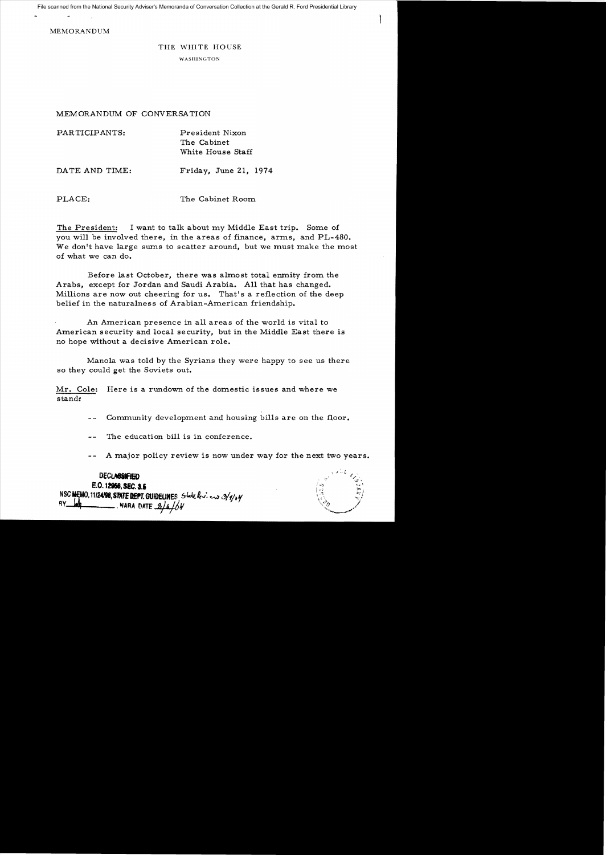File scanned from the National Security Adviser's Memoranda of Conversation Collection at the Gerald R. Ford Presidential Library

MEMORANDUM

## THE WHITE HOUSE

WASHINGTON

MEMORANDUM OF CONVERSATION

| PARTICIPANTS:  | President Nixon<br>The Cabinet<br>White House Staff |
|----------------|-----------------------------------------------------|
| DATE AND TIME: | Friday, June 21, 1974                               |

PLACE: The Cabinet Room

The President: I want to talk about my Middle East trip. Some of you will be involved there, in the areas of finance, arms, and PL-480. We don't have large sums to scatter around, but we must make the most of what we can do.

Before last October, there was almost total enmity from the Arabs, except for Jordan and Saudi Arabia. All that has changed. Millions are now out cheering for us. That's a reflection of the deep belief in the naturalness of Arabian-American friendship.

An American presence in all areas of the world is vital to American security and local security, but in the Middle East there is no hope without a decisive American role.

Manola was told by the Syrians they were happy to see us there so they could get the Soviets out.

Mr. Cole: Here is a rundown of the domestic issues and where we stand:

- Community development and housing bills are on the floor.
- The education bill is in conference.
- A major policy review is now under way for the next two years.

**DECLASSIFIED** E.O. 12958, SEC. 3.5 NSC MEMO, 11/24/98, STATE DEPT. GUIDELINES, State leviews 3/9/04 NARA DATE 8/4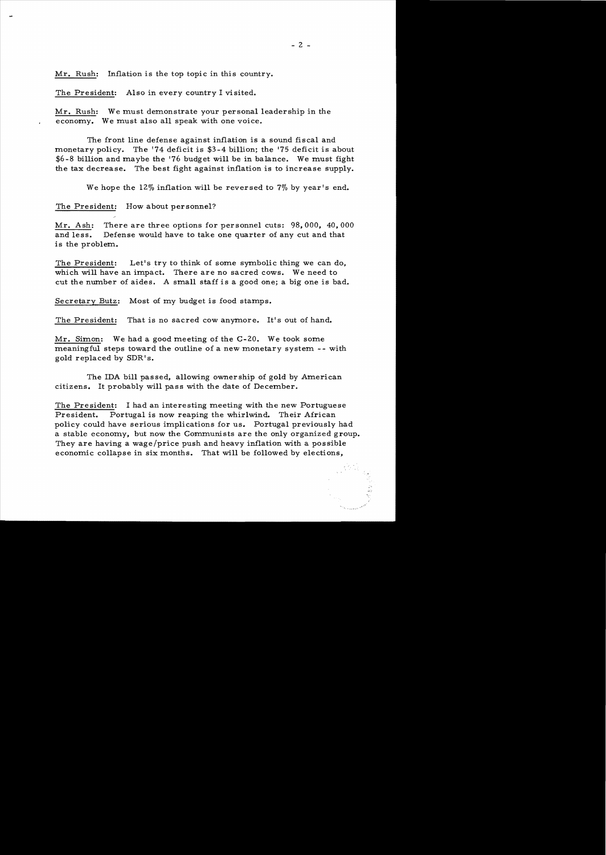Mr. Rush: Inflation is the top topic in this country.

The President: Also in every country I visited.

Mr. Rush: We must demonstrate your personal leadership in the economy. We must also all speak with one voice.

The front line defense against inflation is a sound fiscal and monetary policy. The '74 deficit is \$3-4 billion; the '75 deficit is about \$6-8 billion and maybe the '76 budget will be in balance. We must fight the tax decrease. The best fight against inflation is to increase supply.

We hope the 12% inflation will be reversed to 7% by year's end.

The President: How about personnel?

Mr. Ash: There are three options for personnel cuts: 98,000, 40,000 and less. Defense would have to take one quarter of any cut and that is the problem.

The President: Let's try to think of some symbolic thing we can do, which will have an impact. There are no sacred cows. We need to cut the mnnber of aides. A small staff is a good one; a big one is bad.

Secretary Butz: Most of my budget is food stamps.

The President: That is no sacred cow anymore. It's out of hand.

Mr. Simon: We had a good meeting of the C-20. We took some meaningful steps toward the outline of a new monetary system -- with gold replaced by SDR's.

The IDA bill passed, allowing ownership of gold by American citizens. It probably will pass with the date of December.

The President: I had an interesting meeting with the new Portuguese President. Portugal is now reaping the whirlwind. Their African policy could have serious implications for us. Portugal previously had a stable economy, but now the Communists are the only organized group. They are having a wage/price push and heavy inflation with a possible economic collapse in six months. That will be followed by elections,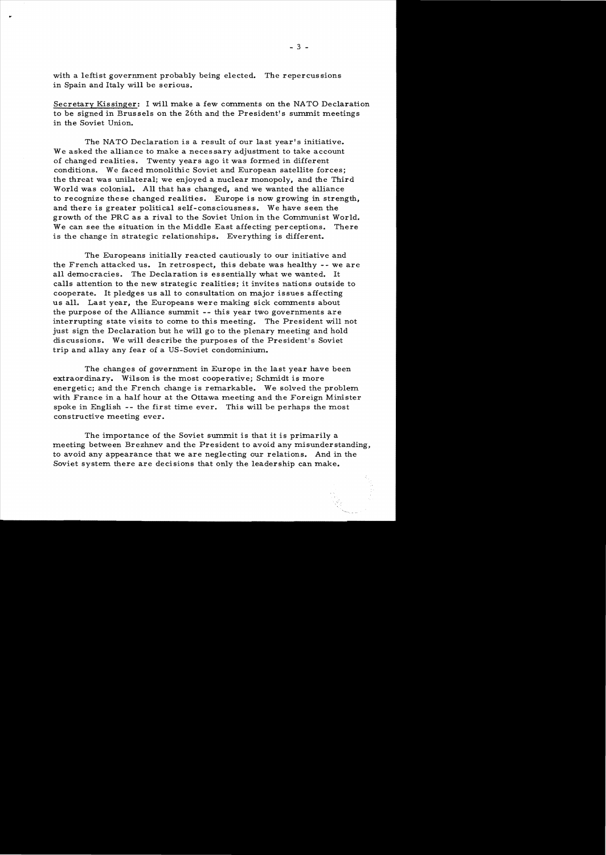with a leftist government probably being elected. The repercussions in Spain and Italy will be serious.

Secretary Kissinger: I will make a few comments on the NATO Declaration to be signed in Brussels on the 26th and the President's summit meetings in the Soviet Union.

The NATO Declaration is a result of our last year's initiative. We asked the alliance to make a necessary adjustment to take account of changed realities. Twenty years ago it was formed in different conditions. We faced monolithic Soviet and European satellite forces; the threat was unilateral; we enjoyed a nuclear monopoly, and the Third World was colonial. All that has changed, and we wanted the alliance to recognize these changed realities. Europe is now growing in strength, and there is greater political self-consciousness. We have seen the growth of the PRC as a rival to the Soviet Union in the Communist World. We can see the situation in the Middle East affecting perceptions. There is the change in strategic relationships. Everything is different.

The Europeans initially reacted cautiously to our initiative and the French attacked us. In retrospect, this debate was healthy -- we are all democracies. The Declaration is essentially what we wanted. It calls attention to the new strategic realities; it invites nations outside to cooperate. It pledges us all to consultation on major issues affecting us all. Last year, the Europeans were making sick comments about the purpose of the Alliance summit -- this year two governments are interrupting state visits to come to this meeting. The President will not just sign the Declaration but he will go to the plenary meeting and hold discussions. We will describe the purposes of the President's Soviet trip and allay any fear of a US-Soviet condominium.

The changes of government in Europe in the last year have been extraordinary. Wilson is the most cooperative; Schmidt is more energetic; and the French change is remarkable. We solved the problem with France in a half hour at the Ottawa meeting and the Foreign Minister spoke in English -- the first time ever. This will be perhaps the most constructive meeting ever.

The importance of the Soviet summit is that it is primarily a meeting between Brezhnev and the President to avoid any misunderstanding, to avoid any appearance that we are neglecting our relations. And in the Soviet system there are decisions that only the leadership can make.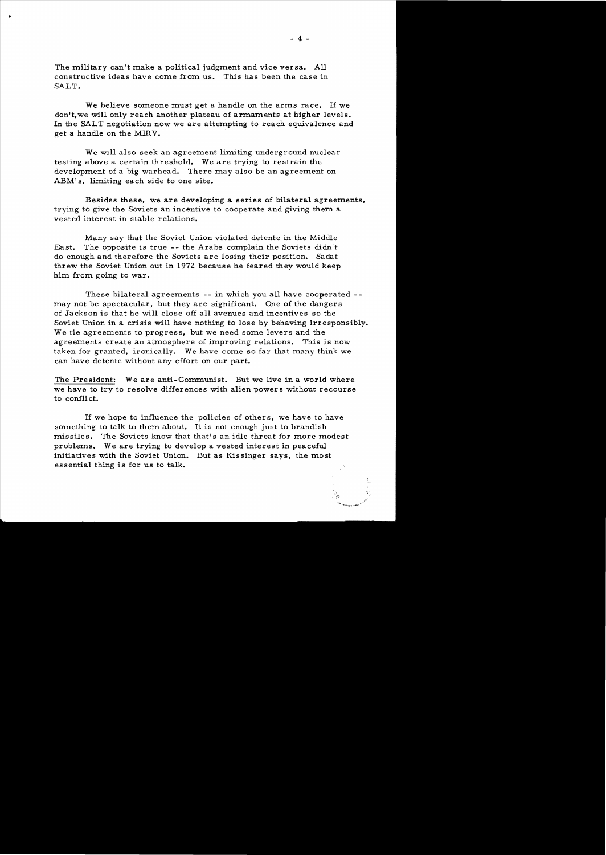The military can't make a political judgment and vice versa. All constructive ideas have come from us. This has been the case in SALT.

..

We believe someone must get a handle on the arms race. If we don't,we will only reach another plateau of armaments at higher levels. In the SALT negotiation now we are attempting to reach equivalence and get a handle on the MIRV.

We will also seek an agreement limiting underground nuclear testing above a certain threshold. We are trying to restrain the development of a big warhead. There may also be an agreement on ABM' s, limiting each side to one site.

Besides these, we are developing a series of bilateral agreements, trying to give the Soviets an incentive to cooperate and giving them a vested interest in stable relations.

Many say that the Soviet Union violated detente in the Middle East. The opposite is true -- the Arabs complain the Soviets didn't do enough and therefore the Soviets are losing their position. Sadat threw the Soviet Union out in 1972 because he feared they would keep him from going to war.

These bilateral agreements -- in which you all have cooperated may not be spectacular, but they are significant. One of the dangers of Jackson is that he will close off all avenues and incentives so the Soviet Union in a crisis will have nothing to lose by behaving irresponsibly. We tie agreements to progress, but we need some levers and the agreements create an atmosphere of improving relations. This is now taken for granted, ironically. We have come so far that many think we can have detente without any effort on our part.

The President: We are anti-Communist. But we live in a world where we have to try to resolve differences with alien powers without recourse to conflict.

If we hope to influence the policies of others, we have to have something to talk to them about. It is not enough just to brandish missiles. The Soviets know that that's an idle threat for more modest problems. We are trying to develop a vested interest in peaceful initiatives with the Soviet Union. But as Kissinger says, the most essential thing is for us to talk.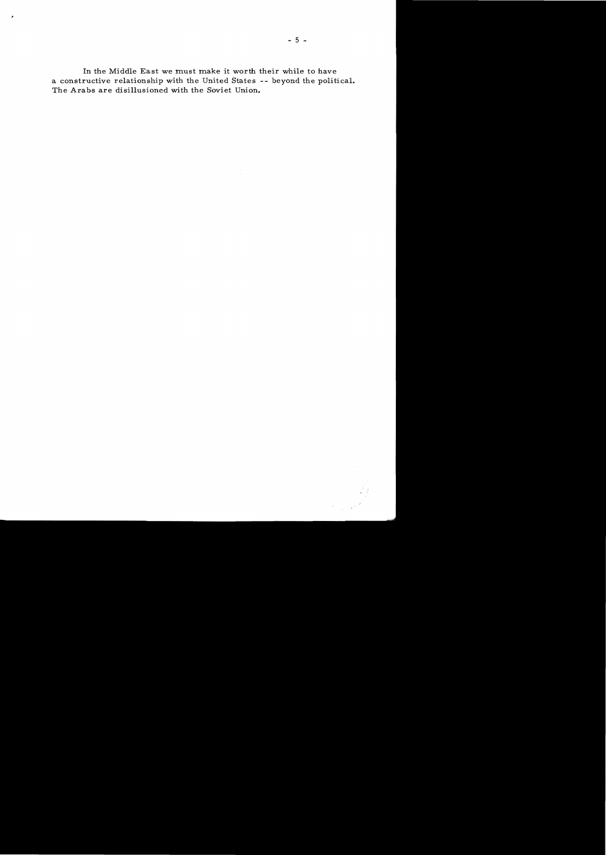In the Middle East we must make it worth their while to have a constructive relationship with the United States -- beyond the political. The Arabs are disillusioned with the Soviet Union.

×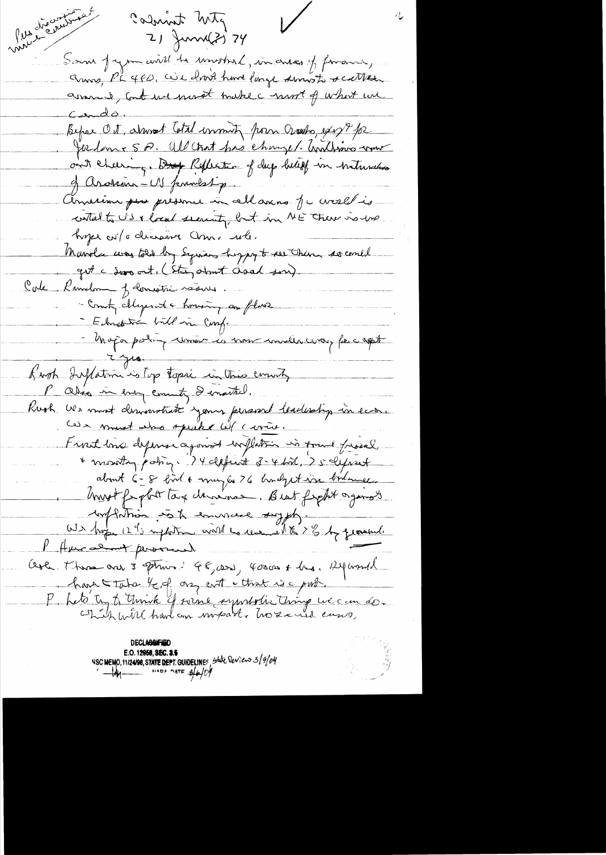mou discoursion  $\bigvee$ calmint wite 21 Juni 21 74 Som Jagon will be unished, in arres of forain, assamed, Contract provat brake convert of what we Cando. Befor Ot, alwart With womity from Grashs, exp?p2 Joedanie S.P. All trat pas changer. And was rome ont cheering, Dup Reflection of dup belief in tratureless of arossain - US fermestig. American puis presence in allaxins fu crosel is contracts US & local security but in ME There is use hype with discourse anna when Marvelse was told by Syrian hypy to see them so could get c dans at, (Ster, about Osal son) Cole Kundom J domoitre véase. - Count chyent a honoring as fluor - Ednebra bill in Comp. - Major polin union la vour under civer fer capt  $7.348$ Kirgh Inflation is top topic in this county P also in every county I enseted. Rook we most derivative your persont leadership in ear. Cas must also opeake cit carrie. Front love dymse against willation in found friend \* montag patry. 24 defect 3-4 bil, 25 definet about 6-8 birt & may la 26 hondy et vir bolemen most for plat tag dansines. Best forght organizes withdrain so the environce sypty. W3 but 12 90 mptatre with the recent to 2 % by quand. P Aucaline personal. Aola. There are 3 springs 46,000, 40000 + hus. Alphond. have take bed on cutt that is a pub. P. Let's ty to think if soine ayuntatie thing we can do.

**DECLASSIFIED** NSC MEMO, 11/24/98, STATE DEPT. GUIDELINES, State Deview 3/9/04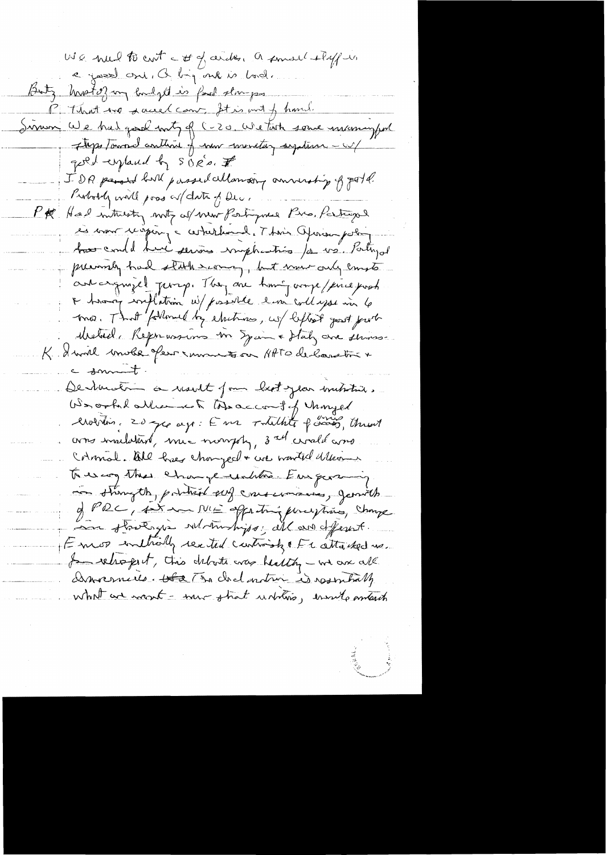We had to cut a st of arck, a small styft e josel ant, a bij ont is bod. Butz hrotof my hudged is fad slow-pro-P That we dance can Itis mit of hand. Simon We had good buty of C-20. We task some incomingful Theps towned anthine of now mentary system - w/ good explaned by SORO, I IDR passed bull passed allowed p annually of gold. Probably will poss or date of Dec. PR Had intrivity noty of new Portymer Pia, Partingol ses mon recopies, a certaldure de l'Avis Operan polin has could have service imphasing /a us. Palujal previously had stark scoring, but mur only compte ant arguigel perry. They are time orige/fine just A having writtening w/ possible limitenthapse in 6 mo. That followed by electrons, us beflest gent put Metal, Reprensions me Spain & Hatz are strong K. I will make few runningson HATO de landtre + c somet. Dentmutin a result from bestylar initiative. Werooklatter is tode account of thought Crobotin, 20 pcs ago: E m2 Totalhite paras, throut corres mailatant, mia mongoly, 3 all croald ano Colomal. All heer changed + we wanted delevant to us mon change untities Europeaning in strong the, pointed sen conservances, generals of PRC, And an ME affecting phraspires, Change in strotagie who motives, all are deferent. Emos inthally rected contraints the attached us. I reliefed, this debote was healthy - we are all Dimocencies. Ha The chad outron is resembility what are now t- mu strat untilis, ensuite aments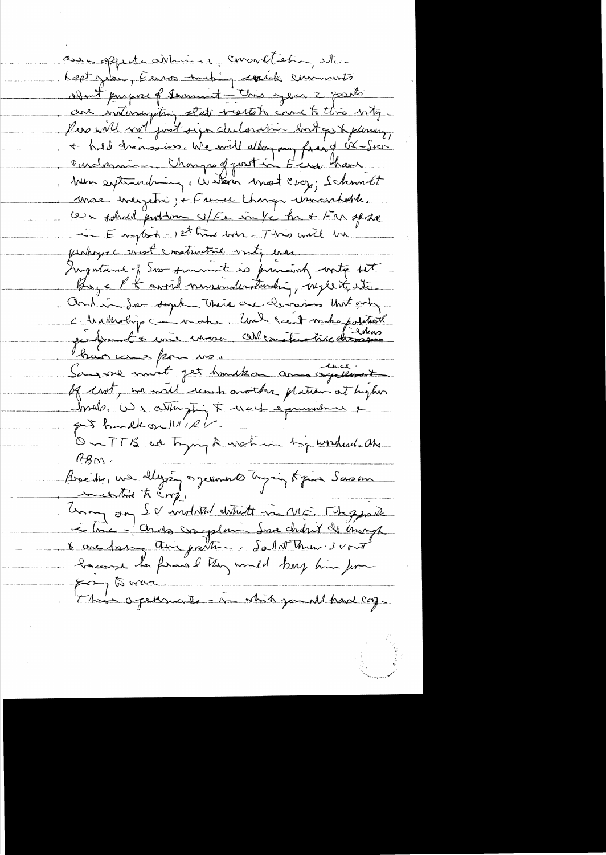aux opperte abbind, consolletin, etc. Last zea, Euros mating sociale communité about propose of terminent - This year 2 grants are interrupting state mentals come to this wity. + hold transains. We will allon my fraid UX-Sich endamin. Charges front in Eine have Mun extraordring, Witerin most crop; Schmidt more ineigetré ; France Change Municipalité. Our solened problem s/Fe in /c he + Far spoke - Employed - 1st time looks - This will be perhoyer const constructive with enarrow Ingestance of Sos surment is provisionly write but Boys K to avoid nuremaleratanding, neglect, etc. and in Some supplementaries are demonisment why ce le dite disponent un de la contexte de la facture bain une pour moi Bain une pour vos of crot, we will reach another plation at hybes Imals. We attempting to wach a pourrent e got handle on 11/1/2V. On TTB are trying & water his worked. als  $H_{\beta N}$ . Boseite, une ellegée organisation de pour Sasan martin to compe Unon on Sc institut un vis. The grade because to frais letry would kep him for  $\approx$   $\approx$   $\approx$ This agencie - in white jamel had cong-